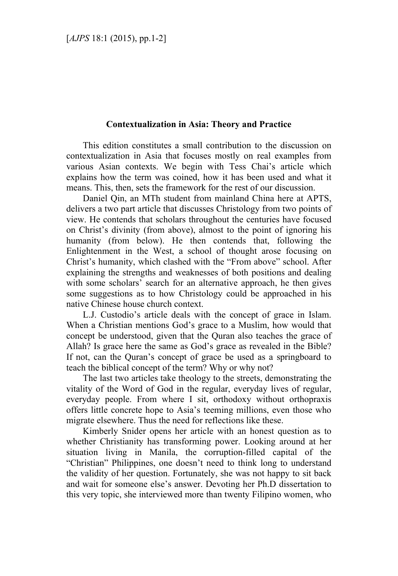## **Contextualization in Asia: Theory and Practice**

This edition constitutes a small contribution to the discussion on contextualization in Asia that focuses mostly on real examples from various Asian contexts. We begin with Tess Chai's article which explains how the term was coined, how it has been used and what it means. This, then, sets the framework for the rest of our discussion.

Daniel Oin, an MTh student from mainland China here at APTS. delivers a two part article that discusses Christology from two points of view. He contends that scholars throughout the centuries have focused on Christ's divinity (from above), almost to the point of ignoring his humanity (from below). He then contends that, following the Enlightenment in the West, a school of thought arose focusing on Christ's humanity, which clashed with the "From above" school. After explaining the strengths and weaknesses of both positions and dealing with some scholars' search for an alternative approach, he then gives some suggestions as to how Christology could be approached in his native Chinese house church context.

L.J. Custodio's article deals with the concept of grace in Islam. When a Christian mentions God's grace to a Muslim, how would that concept be understood, given that the Quran also teaches the grace of Allah? Is grace here the same as God's grace as revealed in the Bible? If not, can the Quran's concept of grace be used as a springboard to teach the biblical concept of the term? Why or why not?

The last two articles take theology to the streets, demonstrating the vitality of the Word of God in the regular, everyday lives of regular, everyday people. From where I sit, orthodoxy without orthopraxis offers little concrete hope to Asia's teeming millions, even those who migrate elsewhere. Thus the need for reflections like these.

Kimberly Snider opens her article with an honest question as to whether Christianity has transforming power. Looking around at her situation living in Manila, the corruption-filled capital of the "Christian" Philippines, one doesn't need to think long to understand the validity of her question. Fortunately, she was not happy to sit back and wait for someone else's answer. Devoting her Ph.D dissertation to this very topic, she interviewed more than twenty Filipino women, who